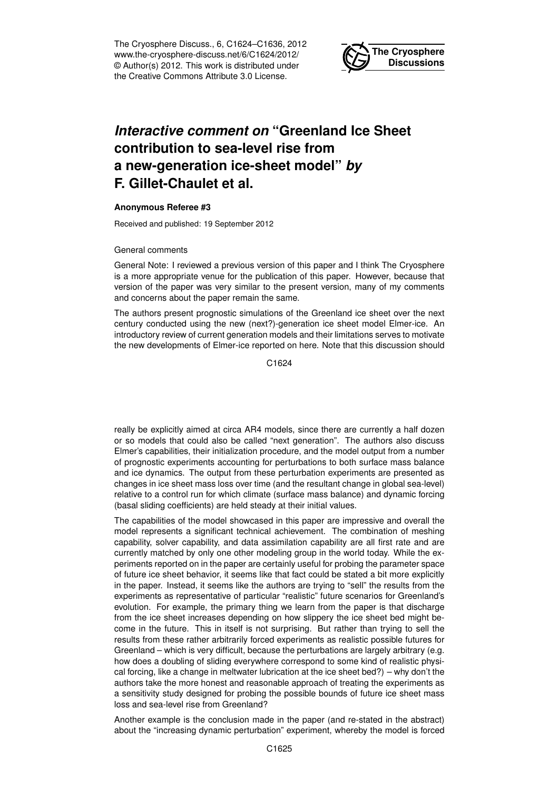The Cryosphere Discuss., 6, C1624–C1636, 2012 www.the-cryosphere-discuss.net/6/C1624/2012/ © Author(s) 2012. This work is distributed under the Creative Commons Attribute 3.0 License.



# *Interactive comment on* **"Greenland Ice Sheet contribution to sea-level rise from a new-generation ice-sheet model"** *by* **F. Gillet-Chaulet et al.**

## **Anonymous Referee #3**

Received and published: 19 September 2012

#### General comments

General Note: I reviewed a previous version of this paper and I think The Cryosphere is a more appropriate venue for the publication of this paper. However, because that version of the paper was very similar to the present version, many of my comments and concerns about the paper remain the same.

The authors present prognostic simulations of the Greenland ice sheet over the next century conducted using the new (next?)-generation ice sheet model Elmer-ice. An introductory review of current generation models and their limitations serves to motivate the new developments of Elmer-ice reported on here. Note that this discussion should

C<sub>1624</sub>

really be explicitly aimed at circa AR4 models, since there are currently a half dozen or so models that could also be called "next generation". The authors also discuss Elmer's capabilities, their initialization procedure, and the model output from a number of prognostic experiments accounting for perturbations to both surface mass balance and ice dynamics. The output from these perturbation experiments are presented as changes in ice sheet mass loss over time (and the resultant change in global sea-level) relative to a control run for which climate (surface mass balance) and dynamic forcing (basal sliding coefficients) are held steady at their initial values.

The capabilities of the model showcased in this paper are impressive and overall the model represents a significant technical achievement. The combination of meshing capability, solver capability, and data assimilation capability are all first rate and are currently matched by only one other modeling group in the world today. While the experiments reported on in the paper are certainly useful for probing the parameter space of future ice sheet behavior, it seems like that fact could be stated a bit more explicitly in the paper. Instead, it seems like the authors are trying to "sell" the results from the experiments as representative of particular "realistic" future scenarios for Greenland's evolution. For example, the primary thing we learn from the paper is that discharge from the ice sheet increases depending on how slippery the ice sheet bed might become in the future. This in itself is not surprising. But rather than trying to sell the results from these rather arbitrarily forced experiments as realistic possible futures for Greenland – which is very difficult, because the perturbations are largely arbitrary (e.g. how does a doubling of sliding everywhere correspond to some kind of realistic physical forcing, like a change in meltwater lubrication at the ice sheet bed?) – why don't the authors take the more honest and reasonable approach of treating the experiments as a sensitivity study designed for probing the possible bounds of future ice sheet mass loss and sea-level rise from Greenland?

Another example is the conclusion made in the paper (and re-stated in the abstract) about the "increasing dynamic perturbation" experiment, whereby the model is forced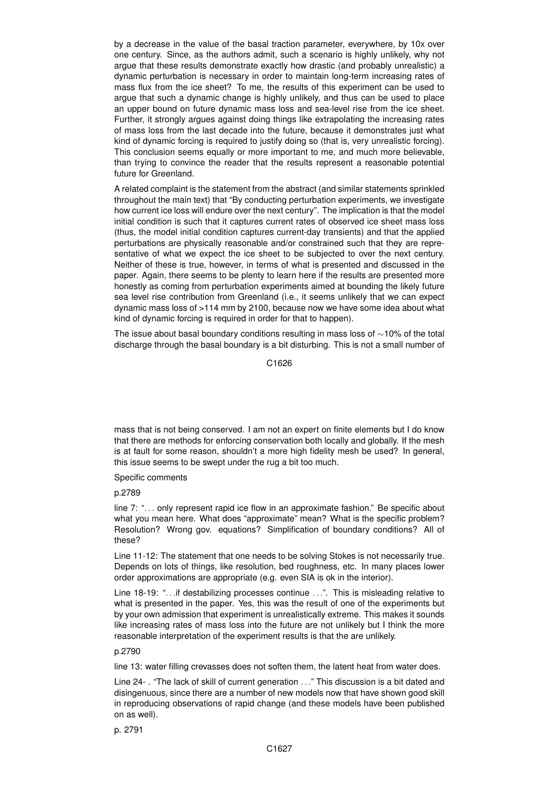by a decrease in the value of the basal traction parameter, everywhere, by 10x over one century. Since, as the authors admit, such a scenario is highly unlikely, why not argue that these results demonstrate exactly how drastic (and probably unrealistic) a dynamic perturbation is necessary in order to maintain long-term increasing rates of mass flux from the ice sheet? To me, the results of this experiment can be used to argue that such a dynamic change is highly unlikely, and thus can be used to place an upper bound on future dynamic mass loss and sea-level rise from the ice sheet. Further, it strongly argues against doing things like extrapolating the increasing rates of mass loss from the last decade into the future, because it demonstrates just what kind of dynamic forcing is required to justify doing so (that is, very unrealistic forcing). This conclusion seems equally or more important to me, and much more believable, than trying to convince the reader that the results represent a reasonable potential future for Greenland.

A related complaint is the statement from the abstract (and similar statements sprinkled throughout the main text) that "By conducting perturbation experiments, we investigate how current ice loss will endure over the next century". The implication is that the model initial condition is such that it captures current rates of observed ice sheet mass loss (thus, the model initial condition captures current-day transients) and that the applied perturbations are physically reasonable and/or constrained such that they are representative of what we expect the ice sheet to be subjected to over the next century. Neither of these is true, however, in terms of what is presented and discussed in the paper. Again, there seems to be plenty to learn here if the results are presented more honestly as coming from perturbation experiments aimed at bounding the likely future sea level rise contribution from Greenland (i.e., it seems unlikely that we can expect dynamic mass loss of >114 mm by 2100, because now we have some idea about what kind of dynamic forcing is required in order for that to happen).

The issue about basal boundary conditions resulting in mass loss of ∼10% of the total discharge through the basal boundary is a bit disturbing. This is not a small number of

C<sub>1626</sub>

mass that is not being conserved. I am not an expert on finite elements but I do know that there are methods for enforcing conservation both locally and globally. If the mesh is at fault for some reason, shouldn't a more high fidelity mesh be used? In general, this issue seems to be swept under the rug a bit too much.

Specific comments

p.2789

line 7: ". . . only represent rapid ice flow in an approximate fashion." Be specific about what you mean here. What does "approximate" mean? What is the specific problem? Resolution? Wrong gov. equations? Simplification of boundary conditions? All of these?

Line 11-12: The statement that one needs to be solving Stokes is not necessarily true. Depends on lots of things, like resolution, bed roughness, etc. In many places lower order approximations are appropriate (e.g. even SIA is ok in the interior).

Line 18-19: "...if destabilizing processes continue ...". This is misleading relative to what is presented in the paper. Yes, this was the result of one of the experiments but by your own admission that experiment is unrealistically extreme. This makes it sounds like increasing rates of mass loss into the future are not unlikely but I think the more reasonable interpretation of the experiment results is that the are unlikely.

## p.2790

line 13: water filling crevasses does not soften them, the latent heat from water does.

Line 24- . "The lack of skill of current generation . . ." This discussion is a bit dated and disingenuous, since there are a number of new models now that have shown good skill in reproducing observations of rapid change (and these models have been published on as well).

p. 2791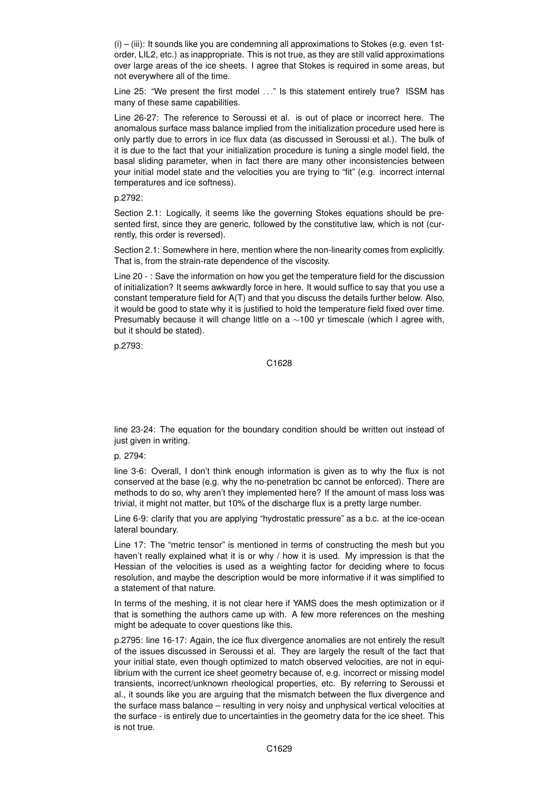$(i)$  –  $(iii)$ : It sounds like you are condemning all approximations to Stokes (e.g. even 1storder, LIL2, etc.) as inappropriate. This is not true, as they are still valid approximations over large areas of the ice sheets. I agree that Stokes is required in some areas, but not everywhere all of the time.

Line 25: "We present the first model ..." Is this statement entirely true? ISSM has many of these same capabilities.

Line 26-27: The reference to Seroussi et al. is out of place or incorrect here. The anomalous surface mass balance implied from the initialization procedure used here is only partly due to errors in ice flux data (as discussed in Seroussi et al.). The bulk of it is due to the fact that your initialization procedure is tuning a single model field, the basal sliding parameter, when in fact there are many other inconsistencies between your initial model state and the velocities you are trying to "fit" (e.g. incorrect internal temperatures and ice softness).

# p.2792:

Section 2.1: Logically, it seems like the governing Stokes equations should be presented first, since they are generic, followed by the constitutive law, which is not (currently, this order is reversed).

Section 2.1: Somewhere in here, mention where the non-linearity comes from explicitly. That is, from the strain-rate dependence of the viscosity.

Line 20 - : Save the information on how you get the temperature field for the discussion of initialization? It seems awkwardly force in here. It would suffice to say that you use a constant temperature field for A(T) and that you discuss the details further below. Also, it would be good to state why it is justified to hold the temperature field fixed over time. Presumably because it will change little on a ∼100 yr timescale (which I agree with, but it should be stated).

p.2793:

# C1628

line 23-24: The equation for the boundary condition should be written out instead of just given in writing.

p. 2794:

line 3-6: Overall, I don't think enough information is given as to why the flux is not conserved at the base (e.g. why the no-penetration bc cannot be enforced). There are methods to do so, why aren't they implemented here? If the amount of mass loss was trivial, it might not matter, but 10% of the discharge flux is a pretty large number.

Line 6-9: clarify that you are applying "hydrostatic pressure" as a b.c. at the ice-ocean lateral boundary.

Line 17: The "metric tensor" is mentioned in terms of constructing the mesh but you haven't really explained what it is or why / how it is used. My impression is that the Hessian of the velocities is used as a weighting factor for deciding where to focus resolution, and maybe the description would be more informative if it was simplified to a statement of that nature.

In terms of the meshing, it is not clear here if YAMS does the mesh optimization or if that is something the authors came up with. A few more references on the meshing might be adequate to cover questions like this.

p.2795: line 16-17: Again, the ice flux divergence anomalies are not entirely the result of the issues discussed in Seroussi et al. They are largely the result of the fact that your initial state, even though optimized to match observed velocities, are not in equilibrium with the current ice sheet geometry because of, e.g. incorrect or missing model transients, incorrect/unknown rheological properties, etc. By referring to Seroussi et al., it sounds like you are arguing that the mismatch between the flux divergence and the surface mass balance – resulting in very noisy and unphysical vertical velocities at the surface - is entirely due to uncertainties in the geometry data for the ice sheet. This is not true.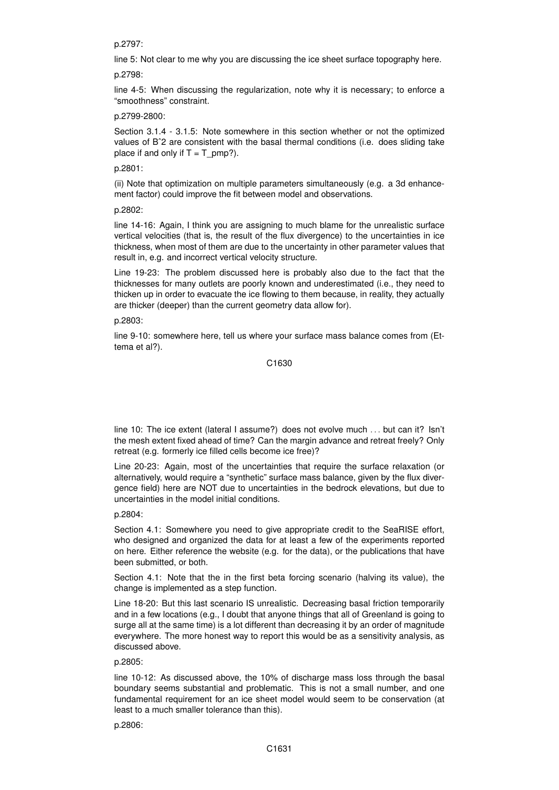## p.2797:

line 5: Not clear to me why you are discussing the ice sheet surface topography here.

# p.2798:

line 4-5: When discussing the regularization, note why it is necessary; to enforce a "smoothness" constraint.

# p.2799-2800:

Section 3.1.4 - 3.1.5: Note somewhere in this section whether or not the optimized values of Bˆ2 are consistent with the basal thermal conditions (i.e. does sliding take place if and only if  $T = T$  pmp?).

# p.2801:

(ii) Note that optimization on multiple parameters simultaneously (e.g. a 3d enhancement factor) could improve the fit between model and observations.

p.2802:

line 14-16: Again, I think you are assigning to much blame for the unrealistic surface vertical velocities (that is, the result of the flux divergence) to the uncertainties in ice thickness, when most of them are due to the uncertainty in other parameter values that result in, e.g. and incorrect vertical velocity structure.

Line 19-23: The problem discussed here is probably also due to the fact that the thicknesses for many outlets are poorly known and underestimated (i.e., they need to thicken up in order to evacuate the ice flowing to them because, in reality, they actually are thicker (deeper) than the current geometry data allow for).

## p.2803:

line 9-10: somewhere here, tell us where your surface mass balance comes from (Ettema et al?).

#### C1630

line 10: The ice extent (lateral I assume?) does not evolve much . . . but can it? Isn't the mesh extent fixed ahead of time? Can the margin advance and retreat freely? Only retreat (e.g. formerly ice filled cells become ice free)?

Line 20-23: Again, most of the uncertainties that require the surface relaxation (or alternatively, would require a "synthetic" surface mass balance, given by the flux divergence field) here are NOT due to uncertainties in the bedrock elevations, but due to uncertainties in the model initial conditions.

# p.2804:

Section 4.1: Somewhere you need to give appropriate credit to the SeaRISE effort, who designed and organized the data for at least a few of the experiments reported on here. Either reference the website (e.g. for the data), or the publications that have been submitted, or both.

Section 4.1: Note that the in the first beta forcing scenario (halving its value), the change is implemented as a step function.

Line 18-20: But this last scenario IS unrealistic. Decreasing basal friction temporarily and in a few locations (e.g., I doubt that anyone things that all of Greenland is going to surge all at the same time) is a lot different than decreasing it by an order of magnitude everywhere. The more honest way to report this would be as a sensitivity analysis, as discussed above.

# p.2805:

line 10-12: As discussed above, the 10% of discharge mass loss through the basal boundary seems substantial and problematic. This is not a small number, and one fundamental requirement for an ice sheet model would seem to be conservation (at least to a much smaller tolerance than this).

p.2806: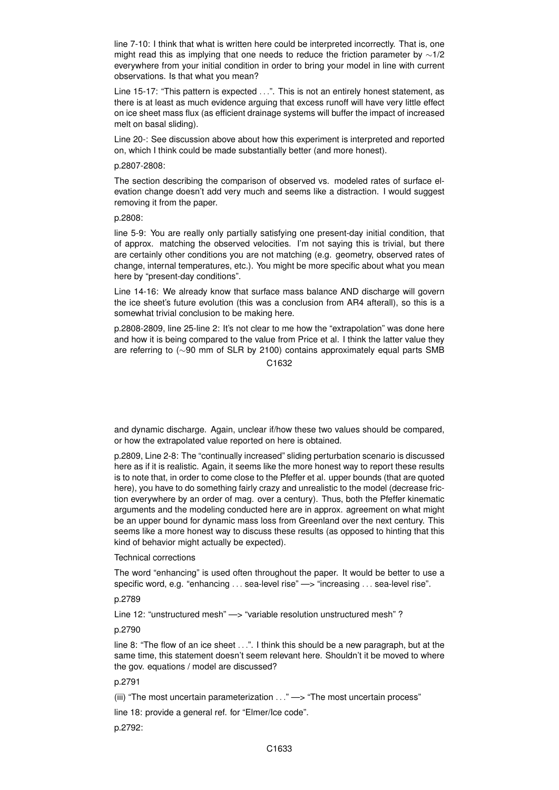line 7-10: I think that what is written here could be interpreted incorrectly. That is, one might read this as implying that one needs to reduce the friction parameter by ∼1/2 everywhere from your initial condition in order to bring your model in line with current observations. Is that what you mean?

Line 15-17: "This pattern is expected ...". This is not an entirely honest statement, as there is at least as much evidence arguing that excess runoff will have very little effect on ice sheet mass flux (as efficient drainage systems will buffer the impact of increased melt on basal sliding).

Line 20-: See discussion above about how this experiment is interpreted and reported on, which I think could be made substantially better (and more honest).

#### p.2807-2808:

The section describing the comparison of observed vs. modeled rates of surface elevation change doesn't add very much and seems like a distraction. I would suggest removing it from the paper.

#### p.2808:

line 5-9: You are really only partially satisfying one present-day initial condition, that of approx. matching the observed velocities. I'm not saying this is trivial, but there are certainly other conditions you are not matching (e.g. geometry, observed rates of change, internal temperatures, etc.). You might be more specific about what you mean here by "present-day conditions".

Line 14-16: We already know that surface mass balance AND discharge will govern the ice sheet's future evolution (this was a conclusion from AR4 afterall), so this is a somewhat trivial conclusion to be making here.

p.2808-2809, line 25-line 2: It's not clear to me how the "extrapolation" was done here and how it is being compared to the value from Price et al. I think the latter value they are referring to (∼90 mm of SLR by 2100) contains approximately equal parts SMB

# C<sub>1632</sub>

and dynamic discharge. Again, unclear if/how these two values should be compared, or how the extrapolated value reported on here is obtained.

p.2809, Line 2-8: The "continually increased" sliding perturbation scenario is discussed here as if it is realistic. Again, it seems like the more honest way to report these results is to note that, in order to come close to the Pfeffer et al. upper bounds (that are quoted here), you have to do something fairly crazy and unrealistic to the model (decrease friction everywhere by an order of mag. over a century). Thus, both the Pfeffer kinematic arguments and the modeling conducted here are in approx. agreement on what might be an upper bound for dynamic mass loss from Greenland over the next century. This seems like a more honest way to discuss these results (as opposed to hinting that this kind of behavior might actually be expected).

#### Technical corrections

The word "enhancing" is used often throughout the paper. It would be better to use a specific word, e.g. "enhancing . . . sea-level rise" —> "increasing . . . sea-level rise".

# p.2789

Line 12: "unstructured mesh" —> "variable resolution unstructured mesh" ?

### p.2790

line 8: "The flow of an ice sheet . . .". I think this should be a new paragraph, but at the same time, this statement doesn't seem relevant here. Shouldn't it be moved to where the gov. equations / model are discussed?

# p.2791

(iii) "The most uncertain parameterization ..." -> "The most uncertain process"

line 18: provide a general ref. for "Elmer/Ice code".

p.2792: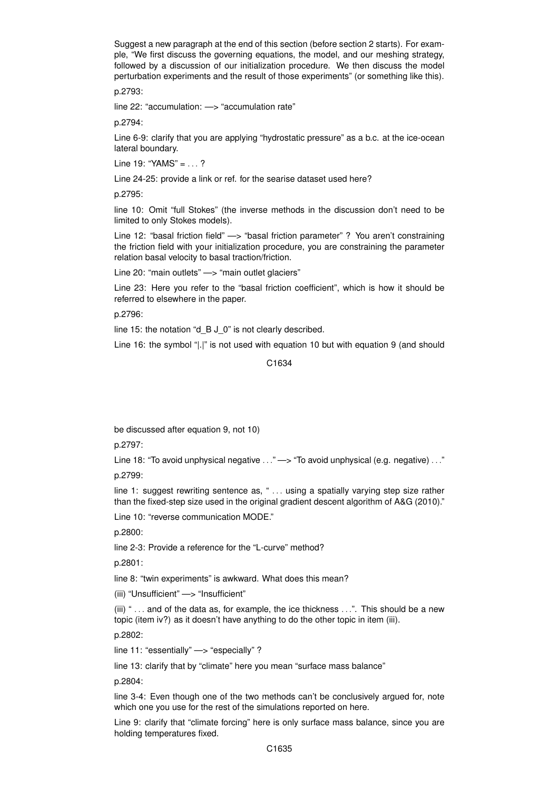Suggest a new paragraph at the end of this section (before section 2 starts). For example, "We first discuss the governing equations, the model, and our meshing strategy, followed by a discussion of our initialization procedure. We then discuss the model perturbation experiments and the result of those experiments" (or something like this).

p.2793:

line 22: "accumulation: —> "accumulation rate"

p.2794:

Line 6-9: clarify that you are applying "hydrostatic pressure" as a b.c. at the ice-ocean lateral boundary.

Line 19: "YAMS" = ...?

Line 24-25: provide a link or ref. for the searise dataset used here?

p.2795:

line 10: Omit "full Stokes" (the inverse methods in the discussion don't need to be limited to only Stokes models).

Line 12: "basal friction field" —> "basal friction parameter" ? You aren't constraining the friction field with your initialization procedure, you are constraining the parameter relation basal velocity to basal traction/friction.

Line 20: "main outlets" - "main outlet glaciers"

Line 23: Here you refer to the "basal friction coefficient", which is how it should be referred to elsewhere in the paper.

p.2796:

line 15: the notation "d\_B J\_0" is not clearly described.

Line 16: the symbol "|.|" is not used with equation 10 but with equation 9 (and should

C1634

be discussed after equation 9, not 10)

p.2797:

Line 18: "To avoid unphysical negative . . ." —> "To avoid unphysical (e.g. negative) . . ." p.2799:

line 1: suggest rewriting sentence as, " ... using a spatially varying step size rather than the fixed-step size used in the original gradient descent algorithm of A&G (2010)."

Line 10: "reverse communication MODE."

p.2800:

line 2-3: Provide a reference for the "L-curve" method?

p.2801:

line 8: "twin experiments" is awkward. What does this mean?

(iii) "Unsufficient" —> "Insufficient"

(iii) " . . . and of the data as, for example, the ice thickness . . .". This should be a new topic (item iv?) as it doesn't have anything to do the other topic in item (iii).

p.2802:

line 11: "essentially" —> "especially" ?

line 13: clarify that by "climate" here you mean "surface mass balance"

p.2804:

line 3-4: Even though one of the two methods can't be conclusively argued for, note which one you use for the rest of the simulations reported on here.

Line 9: clarify that "climate forcing" here is only surface mass balance, since you are holding temperatures fixed.